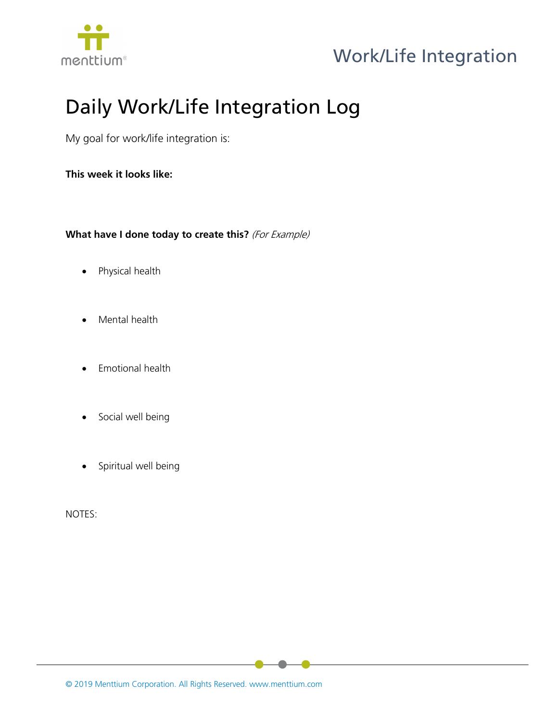

## Work/Life Integration

## Daily Work/Life Integration Log

My goal for work/life integration is:

**This week it looks like:**

**What have I done today to create this?** (For Example)

- Physical health
- Mental health
- Emotional health
- Social well being
- Spiritual well being

NOTES: